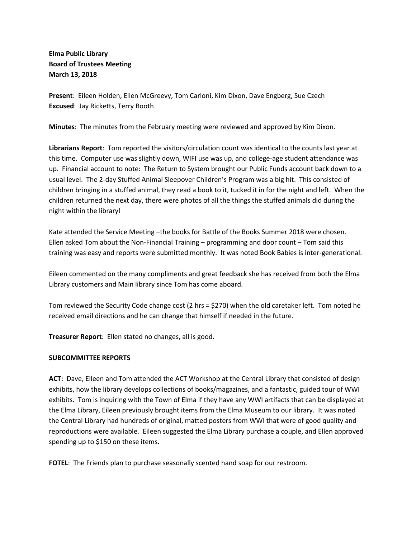## **Elma Public Library Board of Trustees Meeting March 13, 2018**

**Present**: Eileen Holden, Ellen McGreevy, Tom Carloni, Kim Dixon, Dave Engberg, Sue Czech **Excused**: Jay Ricketts, Terry Booth

**Minutes**: The minutes from the February meeting were reviewed and approved by Kim Dixon.

**Librarians Report**: Tom reported the visitors/circulation count was identical to the counts last year at this time. Computer use was slightly down, WIFI use was up, and college-age student attendance was up. Financial account to note: The Return to System brought our Public Funds account back down to a usual level. The 2-day Stuffed Animal Sleepover Children's Program was a big hit. This consisted of children bringing in a stuffed animal, they read a book to it, tucked it in for the night and left. When the children returned the next day, there were photos of all the things the stuffed animals did during the night within the library!

Kate attended the Service Meeting -the books for Battle of the Books Summer 2018 were chosen. Ellen asked Tom about the Non-Financial Training – programming and door count – Tom said this training was easy and reports were submitted monthly. It was noted Book Babies is inter-generational.

Eileen commented on the many compliments and great feedback she has received from both the Elma Library customers and Main library since Tom has come aboard.

Tom reviewed the Security Code change cost (2 hrs = \$270) when the old caretaker left. Tom noted he received email directions and he can change that himself if needed in the future.

**Treasurer Report**: Ellen stated no changes, all is good.

### **SUBCOMMITTEE REPORTS**

**ACT:** Dave, Eileen and Tom attended the ACT Workshop at the Central Library that consisted of design exhibits, how the library develops collections of books/magazines, and a fantastic, guided tour of WWI exhibits. Tom is inquiring with the Town of Elma if they have any WWI artifacts that can be displayed at the Elma Library, Eileen previously brought items from the Elma Museum to our library. It was noted the Central Library had hundreds of original, matted posters from WWI that were of good quality and reproductions were available. Eileen suggested the Elma Library purchase a couple, and Ellen approved spending up to \$150 on these items.

**FOTEL**: The Friends plan to purchase seasonally scented hand soap for our restroom.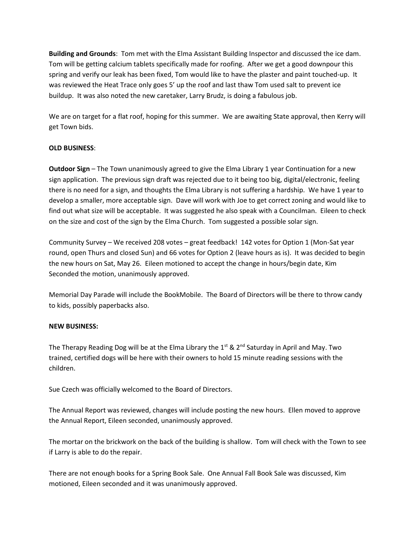**Building and Grounds**: Tom met with the Elma Assistant Building Inspector and discussed the ice dam. Tom will be getting calcium tablets specifically made for roofing. After we get a good downpour this spring and verify our leak has been fixed, Tom would like to have the plaster and paint touched-up. It was reviewed the Heat Trace only goes 5' up the roof and last thaw Tom used salt to prevent ice buildup. It was also noted the new caretaker, Larry Brudz, is doing a fabulous job.

We are on target for a flat roof, hoping for this summer. We are awaiting State approval, then Kerry will get Town bids.

### **OLD BUSINESS**:

**Outdoor Sign** – The Town unanimously agreed to give the Elma Library 1 year Continuation for a new sign application. The previous sign draft was rejected due to it being too big, digital/electronic, feeling there is no need for a sign, and thoughts the Elma Library is not suffering a hardship. We have 1 year to develop a smaller, more acceptable sign. Dave will work with Joe to get correct zoning and would like to find out what size will be acceptable. It was suggested he also speak with a Councilman. Eileen to check on the size and cost of the sign by the Elma Church. Tom suggested a possible solar sign.

Community Survey – We received 208 votes – great feedback! 142 votes for Option 1 (Mon-Sat year round, open Thurs and closed Sun) and 66 votes for Option 2 (leave hours as is). It was decided to begin the new hours on Sat, May 26. Eileen motioned to accept the change in hours/begin date, Kim Seconded the motion, unanimously approved.

Memorial Day Parade will include the BookMobile. The Board of Directors will be there to throw candy to kids, possibly paperbacks also.

### **NEW BUSINESS:**

The Therapy Reading Dog will be at the Elma Library the  $1^{st}$  &  $2^{nd}$  Saturday in April and May. Two trained, certified dogs will be here with their owners to hold 15 minute reading sessions with the children.

Sue Czech was officially welcomed to the Board of Directors.

The Annual Report was reviewed, changes will include posting the new hours. Ellen moved to approve the Annual Report, Eileen seconded, unanimously approved.

The mortar on the brickwork on the back of the building is shallow. Tom will check with the Town to see if Larry is able to do the repair.

There are not enough books for a Spring Book Sale. One Annual Fall Book Sale was discussed, Kim motioned, Eileen seconded and it was unanimously approved.